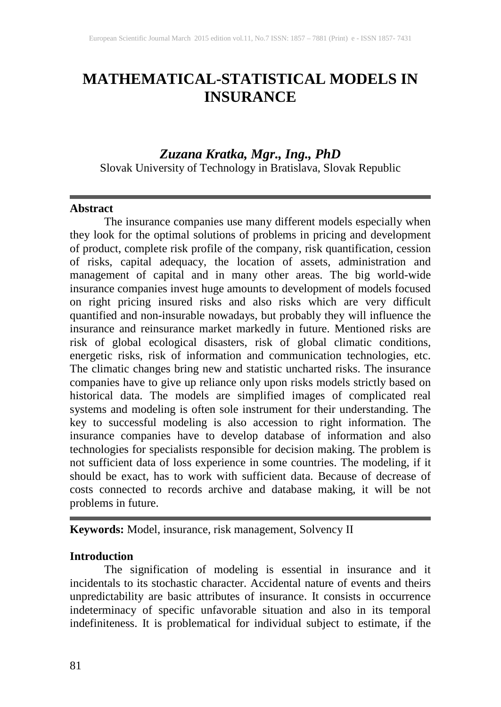# **MATHEMATICAL-STATISTICAL MODELS IN INSURANCE**

## *Zuzana Kratka, Mgr., Ing., PhD*

Slovak University of Technology in Bratislava, Slovak Republic

#### **Abstract**

The insurance companies use many different models especially when they look for the optimal solutions of problems in pricing and development of product, complete risk profile of the company, risk quantification, cession of risks, capital adequacy, the location of assets, administration and management of capital and in many other areas. The big world-wide insurance companies invest huge amounts to development of models focused on right pricing insured risks and also risks which are very difficult quantified and non-insurable nowadays, but probably they will influence the insurance and reinsurance market markedly in future. Mentioned risks are risk of global ecological disasters, risk of global climatic conditions, energetic risks, risk of information and communication technologies, etc. The climatic changes bring new and statistic uncharted risks. The insurance companies have to give up reliance only upon risks models strictly based on historical data. The models are simplified images of complicated real systems and modeling is often sole instrument for their understanding. The key to successful modeling is also accession to right information. The insurance companies have to develop database of information and also technologies for specialists responsible for decision making. The problem is not sufficient data of loss experience in some countries. The modeling, if it should be exact, has to work with sufficient data. Because of decrease of costs connected to records archive and database making, it will be not problems in future.

**Keywords:** Model, insurance, risk management, Solvency II

#### **Introduction**

The signification of modeling is essential in insurance and it incidentals to its stochastic character. Accidental nature of events and theirs unpredictability are basic attributes of insurance. It consists in occurrence indeterminacy of specific unfavorable situation and also in its temporal indefiniteness. It is problematical for individual subject to estimate, if the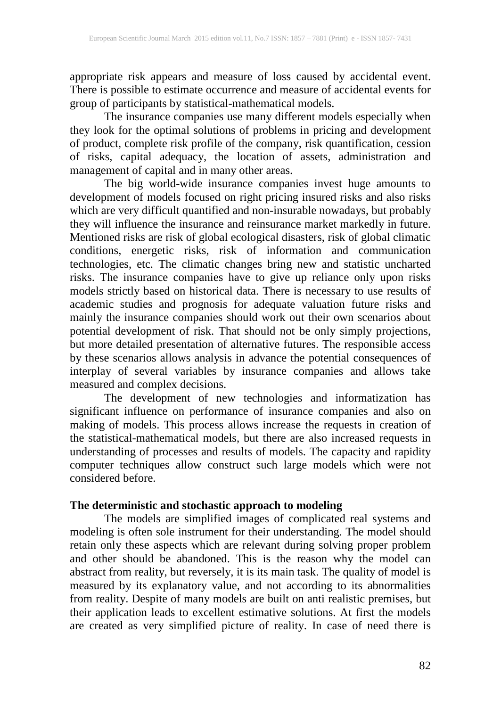appropriate risk appears and measure of loss caused by accidental event. There is possible to estimate occurrence and measure of accidental events for group of participants by statistical-mathematical models.

The insurance companies use many different models especially when they look for the optimal solutions of problems in pricing and development of product, complete risk profile of the company, risk quantification, cession of risks, capital adequacy, the location of assets, administration and management of capital and in many other areas.

The big world-wide insurance companies invest huge amounts to development of models focused on right pricing insured risks and also risks which are very difficult quantified and non-insurable nowadays, but probably they will influence the insurance and reinsurance market markedly in future. Mentioned risks are risk of global ecological disasters, risk of global climatic conditions, energetic risks, risk of information and communication technologies, etc. The climatic changes bring new and statistic uncharted risks. The insurance companies have to give up reliance only upon risks models strictly based on historical data. There is necessary to use results of academic studies and prognosis for adequate valuation future risks and mainly the insurance companies should work out their own scenarios about potential development of risk. That should not be only simply projections, but more detailed presentation of alternative futures. The responsible access by these scenarios allows analysis in advance the potential consequences of interplay of several variables by insurance companies and allows take measured and complex decisions.

The development of new technologies and informatization has significant influence on performance of insurance companies and also on making of models. This process allows increase the requests in creation of the statistical-mathematical models, but there are also increased requests in understanding of processes and results of models. The capacity and rapidity computer techniques allow construct such large models which were not considered before.

#### **The deterministic and stochastic approach to modeling**

The models are simplified images of complicated real systems and modeling is often sole instrument for their understanding. The model should retain only these aspects which are relevant during solving proper problem and other should be abandoned. This is the reason why the model can abstract from reality, but reversely, it is its main task. The quality of model is measured by its explanatory value, and not according to its abnormalities from reality. Despite of many models are built on anti realistic premises, but their application leads to excellent estimative solutions. At first the models are created as very simplified picture of reality. In case of need there is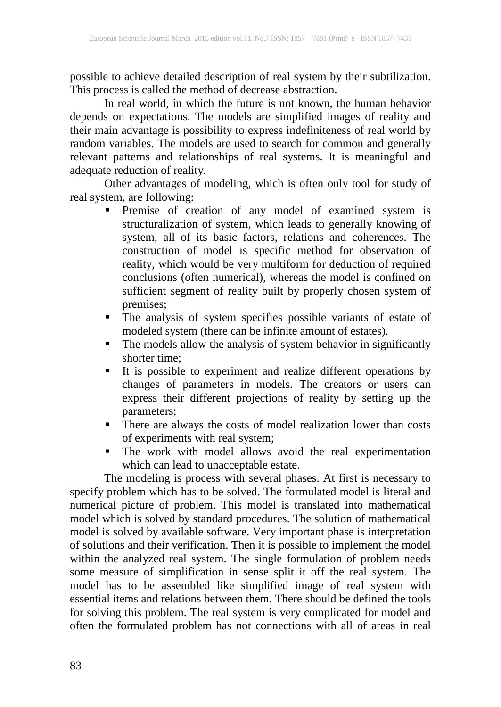possible to achieve detailed description of real system by their subtilization. This process is called the method of decrease abstraction.

In real world, in which the future is not known, the human behavior depends on expectations. The models are simplified images of reality and their main advantage is possibility to express indefiniteness of real world by random variables. The models are used to search for common and generally relevant patterns and relationships of real systems. It is meaningful and adequate reduction of reality.

Other advantages of modeling, which is often only tool for study of real system, are following:

- **Premise** of creation of any model of examined system is structuralization of system, which leads to generally knowing of system, all of its basic factors, relations and coherences. The construction of model is specific method for observation of reality, which would be very multiform for deduction of required conclusions (often numerical), whereas the model is confined on sufficient segment of reality built by properly chosen system of premises;
- The analysis of system specifies possible variants of estate of modeled system (there can be infinite amount of estates).
- The models allow the analysis of system behavior in significantly shorter time;
- It is possible to experiment and realize different operations by changes of parameters in models. The creators or users can express their different projections of reality by setting up the parameters;
- There are always the costs of model realization lower than costs of experiments with real system;
- The work with model allows avoid the real experimentation which can lead to unacceptable estate.

The modeling is process with several phases. At first is necessary to specify problem which has to be solved. The formulated model is literal and numerical picture of problem. This model is translated into mathematical model which is solved by standard procedures. The solution of mathematical model is solved by available software. Very important phase is interpretation of solutions and their verification. Then it is possible to implement the model within the analyzed real system. The single formulation of problem needs some measure of simplification in sense split it off the real system. The model has to be assembled like simplified image of real system with essential items and relations between them. There should be defined the tools for solving this problem. The real system is very complicated for model and often the formulated problem has not connections with all of areas in real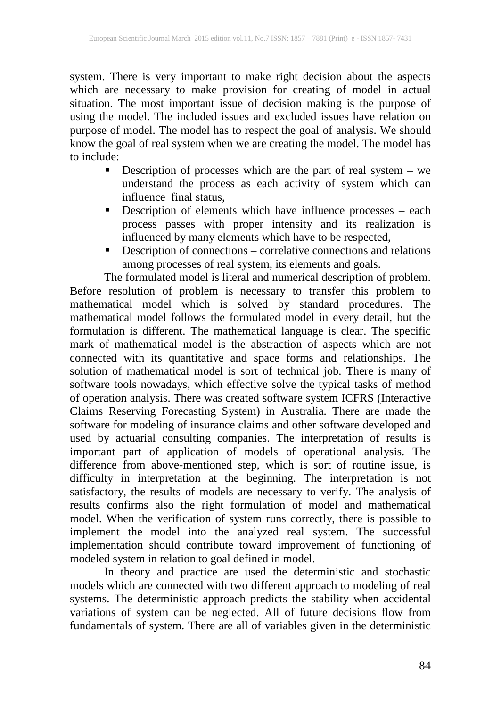system. There is very important to make right decision about the aspects which are necessary to make provision for creating of model in actual situation. The most important issue of decision making is the purpose of using the model. The included issues and excluded issues have relation on purpose of model. The model has to respect the goal of analysis. We should know the goal of real system when we are creating the model. The model has to include:

- Description of processes which are the part of real system  $-$  we understand the process as each activity of system which can influence final status,
- **Description of elements which have influence processes each** process passes with proper intensity and its realization is influenced by many elements which have to be respected,
- **•** Description of connections correlative connections and relations among processes of real system, its elements and goals.

The formulated model is literal and numerical description of problem. Before resolution of problem is necessary to transfer this problem to mathematical model which is solved by standard procedures. The mathematical model follows the formulated model in every detail, but the formulation is different. The mathematical language is clear. The specific mark of mathematical model is the abstraction of aspects which are not connected with its quantitative and space forms and relationships. The solution of mathematical model is sort of technical job. There is many of software tools nowadays, which effective solve the typical tasks of method of operation analysis. There was created software system ICFRS (Interactive Claims Reserving Forecasting System) in Australia. There are made the software for modeling of insurance claims and other software developed and used by actuarial consulting companies. The interpretation of results is important part of application of models of operational analysis. The difference from above-mentioned step, which is sort of routine issue, is difficulty in interpretation at the beginning. The interpretation is not satisfactory, the results of models are necessary to verify. The analysis of results confirms also the right formulation of model and mathematical model. When the verification of system runs correctly, there is possible to implement the model into the analyzed real system. The successful implementation should contribute toward improvement of functioning of modeled system in relation to goal defined in model.

In theory and practice are used the deterministic and stochastic models which are connected with two different approach to modeling of real systems. The deterministic approach predicts the stability when accidental variations of system can be neglected. All of future decisions flow from fundamentals of system. There are all of variables given in the deterministic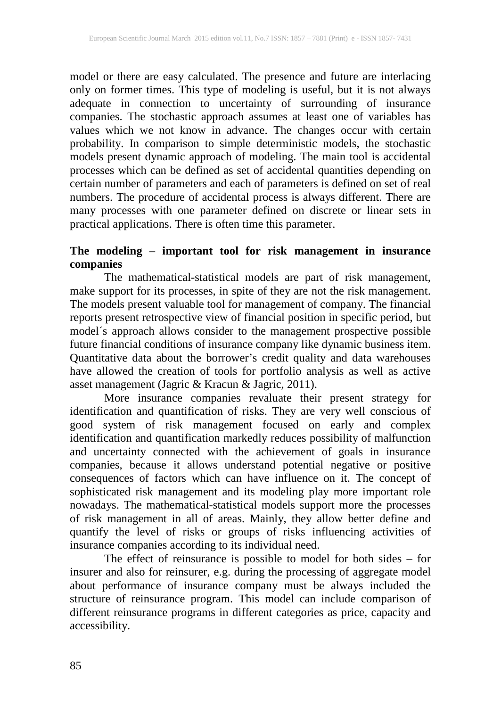model or there are easy calculated. The presence and future are interlacing only on former times. This type of modeling is useful, but it is not always adequate in connection to uncertainty of surrounding of insurance companies. The stochastic approach assumes at least one of variables has values which we not know in advance. The changes occur with certain probability. In comparison to simple deterministic models, the stochastic models present dynamic approach of modeling. The main tool is accidental processes which can be defined as set of accidental quantities depending on certain number of parameters and each of parameters is defined on set of real numbers. The procedure of accidental process is always different. There are many processes with one parameter defined on discrete or linear sets in practical applications. There is often time this parameter.

# **The modeling – important tool for risk management in insurance companies**

The mathematical-statistical models are part of risk management, make support for its processes, in spite of they are not the risk management. The models present valuable tool for management of company. The financial reports present retrospective view of financial position in specific period, but model´s approach allows consider to the management prospective possible future financial conditions of insurance company like dynamic business item. Quantitative data about the borrower's credit quality and data warehouses have allowed the creation of tools for portfolio analysis as well as active asset management (Jagric & Kracun & Jagric, 2011).

More insurance companies revaluate their present strategy for identification and quantification of risks. They are very well conscious of good system of risk management focused on early and complex identification and quantification markedly reduces possibility of malfunction and uncertainty connected with the achievement of goals in insurance companies, because it allows understand potential negative or positive consequences of factors which can have influence on it. The concept of sophisticated risk management and its modeling play more important role nowadays. The mathematical-statistical models support more the processes of risk management in all of areas. Mainly, they allow better define and quantify the level of risks or groups of risks influencing activities of insurance companies according to its individual need.

The effect of reinsurance is possible to model for both sides – for insurer and also for reinsurer, e.g. during the processing of aggregate model about performance of insurance company must be always included the structure of reinsurance program. This model can include comparison of different reinsurance programs in different categories as price, capacity and accessibility.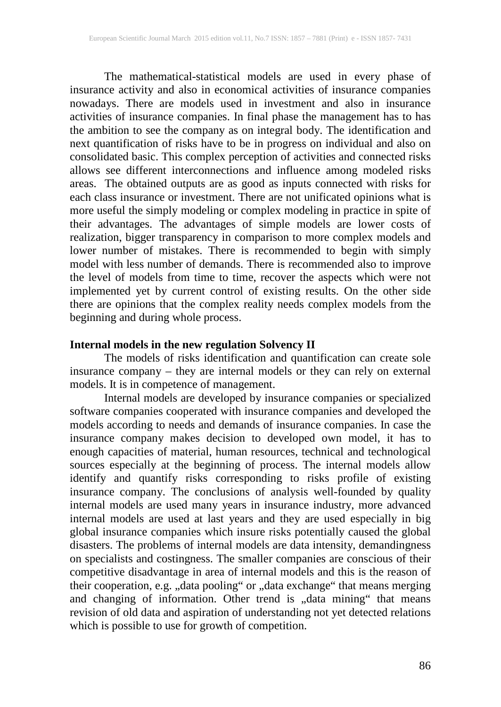The mathematical-statistical models are used in every phase of insurance activity and also in economical activities of insurance companies nowadays. There are models used in investment and also in insurance activities of insurance companies. In final phase the management has to has the ambition to see the company as on integral body. The identification and next quantification of risks have to be in progress on individual and also on consolidated basic. This complex perception of activities and connected risks allows see different interconnections and influence among modeled risks areas. The obtained outputs are as good as inputs connected with risks for each class insurance or investment. There are not unificated opinions what is more useful the simply modeling or complex modeling in practice in spite of their advantages. The advantages of simple models are lower costs of realization, bigger transparency in comparison to more complex models and lower number of mistakes. There is recommended to begin with simply model with less number of demands. There is recommended also to improve the level of models from time to time, recover the aspects which were not implemented yet by current control of existing results. On the other side there are opinions that the complex reality needs complex models from the beginning and during whole process.

#### **Internal models in the new regulation Solvency II**

The models of risks identification and quantification can create sole insurance company – they are internal models or they can rely on external models. It is in competence of management.

Internal models are developed by insurance companies or specialized software companies cooperated with insurance companies and developed the models according to needs and demands of insurance companies. In case the insurance company makes decision to developed own model, it has to enough capacities of material, human resources, technical and technological sources especially at the beginning of process. The internal models allow identify and quantify risks corresponding to risks profile of existing insurance company. The conclusions of analysis well-founded by quality internal models are used many years in insurance industry, more advanced internal models are used at last years and they are used especially in big global insurance companies which insure risks potentially caused the global disasters. The problems of internal models are data intensity, demandingness on specialists and costingness. The smaller companies are conscious of their competitive disadvantage in area of internal models and this is the reason of their cooperation, e.g. ,,data pooling or ,,data exchange that means merging and changing of information. Other trend is "data mining" that means revision of old data and aspiration of understanding not yet detected relations which is possible to use for growth of competition.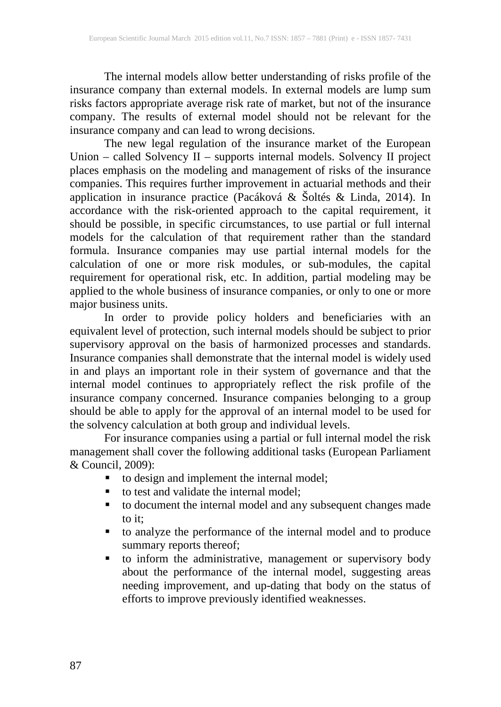The internal models allow better understanding of risks profile of the insurance company than external models. In external models are lump sum risks factors appropriate average risk rate of market, but not of the insurance company. The results of external model should not be relevant for the insurance company and can lead to wrong decisions.

The new legal regulation of the insurance market of the European Union – called Solvency II – supports internal models. Solvency II project places emphasis on the modeling and management of risks of the insurance companies. This requires further improvement in actuarial methods and their application in insurance practice (Pacáková & Šoltés & Linda, 2014). In accordance with the risk-oriented approach to the capital requirement, it should be possible, in specific circumstances, to use partial or full internal models for the calculation of that requirement rather than the standard formula. Insurance companies may use partial internal models for the calculation of one or more risk modules, or sub-modules, the capital requirement for operational risk, etc. In addition, partial modeling may be applied to the whole business of insurance companies, or only to one or more major business units.

In order to provide policy holders and beneficiaries with an equivalent level of protection, such internal models should be subject to prior supervisory approval on the basis of harmonized processes and standards. Insurance companies shall demonstrate that the internal model is widely used in and plays an important role in their system of governance and that the internal model continues to appropriately reflect the risk profile of the insurance company concerned. Insurance companies belonging to a group should be able to apply for the approval of an internal model to be used for the solvency calculation at both group and individual levels.

For insurance companies using a partial or full internal model the risk management shall cover the following additional tasks (European Parliament & Council, 2009):

- to design and implement the internal model;
- to test and validate the internal model;
- to document the internal model and any subsequent changes made to it;
- to analyze the performance of the internal model and to produce summary reports thereof;
- to inform the administrative, management or supervisory body about the performance of the internal model, suggesting areas needing improvement, and up-dating that body on the status of efforts to improve previously identified weaknesses.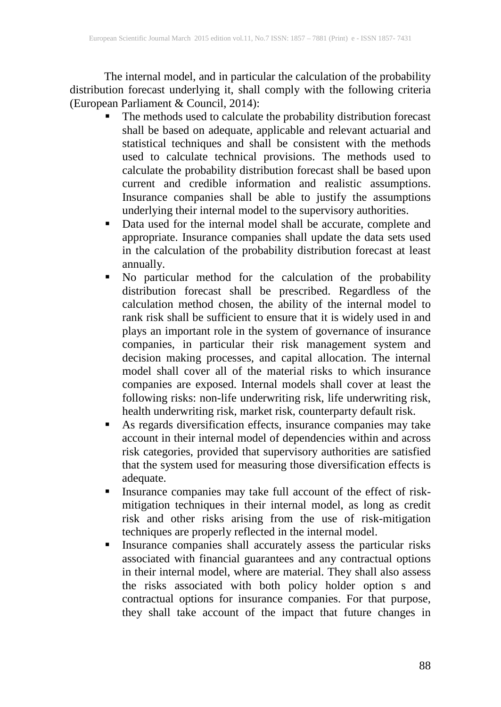The internal model, and in particular the calculation of the probability distribution forecast underlying it, shall comply with the following criteria (European Parliament & Council, 2014):

- The methods used to calculate the probability distribution forecast shall be based on adequate, applicable and relevant actuarial and statistical techniques and shall be consistent with the methods used to calculate technical provisions. The methods used to calculate the probability distribution forecast shall be based upon current and credible information and realistic assumptions. Insurance companies shall be able to justify the assumptions underlying their internal model to the supervisory authorities.
- Data used for the internal model shall be accurate, complete and appropriate. Insurance companies shall update the data sets used in the calculation of the probability distribution forecast at least annually.
- No particular method for the calculation of the probability distribution forecast shall be prescribed. Regardless of the calculation method chosen, the ability of the internal model to rank risk shall be sufficient to ensure that it is widely used in and plays an important role in the system of governance of insurance companies, in particular their risk management system and decision making processes, and capital allocation. The internal model shall cover all of the material risks to which insurance companies are exposed. Internal models shall cover at least the following risks: non-life underwriting risk, life underwriting risk, health underwriting risk, market risk, counterparty default risk.
- As regards diversification effects, insurance companies may take account in their internal model of dependencies within and across risk categories, provided that supervisory authorities are satisfied that the system used for measuring those diversification effects is adequate.
- Insurance companies may take full account of the effect of riskmitigation techniques in their internal model, as long as credit risk and other risks arising from the use of risk-mitigation techniques are properly reflected in the internal model.
- **Insurance companies shall accurately assess the particular risks** associated with financial guarantees and any contractual options in their internal model, where are material. They shall also assess the risks associated with both policy holder option s and contractual options for insurance companies. For that purpose, they shall take account of the impact that future changes in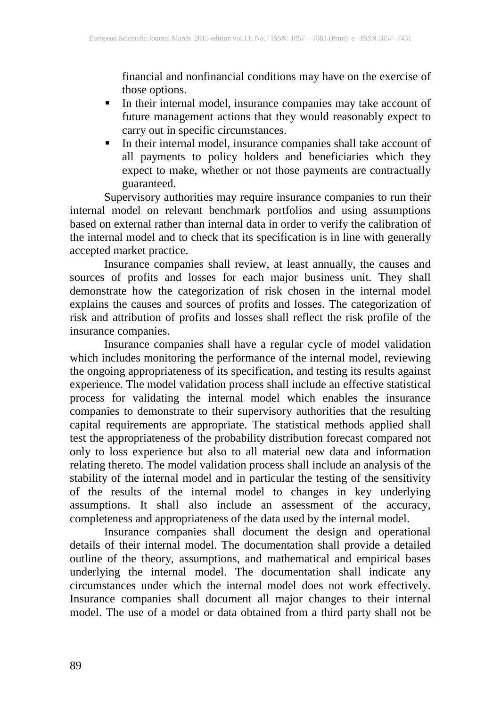financial and nonfinancial conditions may have on the exercise of those options.

- In their internal model, insurance companies may take account of future management actions that they would reasonably expect to carry out in specific circumstances.
- In their internal model, insurance companies shall take account of all payments to policy holders and beneficiaries which they expect to make, whether or not those payments are contractually guaranteed.

Supervisory authorities may require insurance companies to run their internal model on relevant benchmark portfolios and using assumptions based on external rather than internal data in order to verify the calibration of the internal model and to check that its specification is in line with generally accepted market practice.

Insurance companies shall review, at least annually, the causes and sources of profits and losses for each major business unit. They shall demonstrate how the categorization of risk chosen in the internal model explains the causes and sources of profits and losses. The categorization of risk and attribution of profits and losses shall reflect the risk profile of the insurance companies.

Insurance companies shall have a regular cycle of model validation which includes monitoring the performance of the internal model, reviewing the ongoing appropriateness of its specification, and testing its results against experience. The model validation process shall include an effective statistical process for validating the internal model which enables the insurance companies to demonstrate to their supervisory authorities that the resulting capital requirements are appropriate. The statistical methods applied shall test the appropriateness of the probability distribution forecast compared not only to loss experience but also to all material new data and information relating thereto. The model validation process shall include an analysis of the stability of the internal model and in particular the testing of the sensitivity of the results of the internal model to changes in key underlying assumptions. It shall also include an assessment of the accuracy, completeness and appropriateness of the data used by the internal model.

Insurance companies shall document the design and operational details of their internal model. The documentation shall provide a detailed outline of the theory, assumptions, and mathematical and empirical bases underlying the internal model. The documentation shall indicate any circumstances under which the internal model does not work effectively. Insurance companies shall document all major changes to their internal model. The use of a model or data obtained from a third party shall not be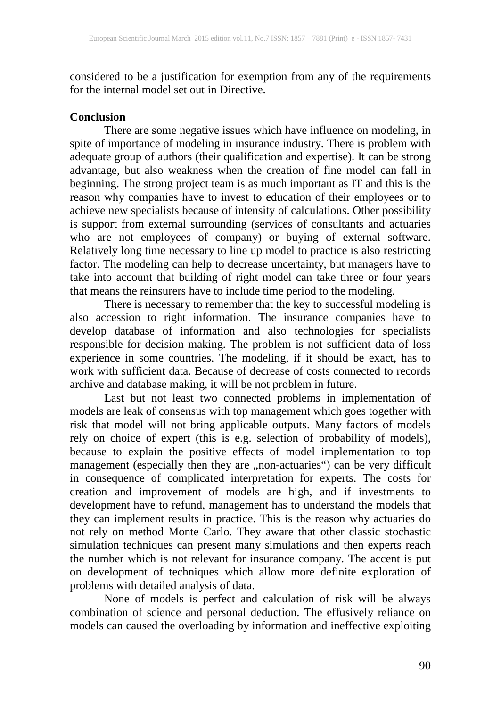considered to be a justification for exemption from any of the requirements for the internal model set out in Directive.

#### **Conclusion**

There are some negative issues which have influence on modeling, in spite of importance of modeling in insurance industry. There is problem with adequate group of authors (their qualification and expertise). It can be strong advantage, but also weakness when the creation of fine model can fall in beginning. The strong project team is as much important as IT and this is the reason why companies have to invest to education of their employees or to achieve new specialists because of intensity of calculations. Other possibility is support from external surrounding (services of consultants and actuaries who are not employees of company) or buying of external software. Relatively long time necessary to line up model to practice is also restricting factor. The modeling can help to decrease uncertainty, but managers have to take into account that building of right model can take three or four years that means the reinsurers have to include time period to the modeling.

There is necessary to remember that the key to successful modeling is also accession to right information. The insurance companies have to develop database of information and also technologies for specialists responsible for decision making. The problem is not sufficient data of loss experience in some countries. The modeling, if it should be exact, has to work with sufficient data. Because of decrease of costs connected to records archive and database making, it will be not problem in future.

Last but not least two connected problems in implementation of models are leak of consensus with top management which goes together with risk that model will not bring applicable outputs. Many factors of models rely on choice of expert (this is e.g. selection of probability of models), because to explain the positive effects of model implementation to top management (especially then they are ,,non-actuaries") can be very difficult in consequence of complicated interpretation for experts. The costs for creation and improvement of models are high, and if investments to development have to refund, management has to understand the models that they can implement results in practice. This is the reason why actuaries do not rely on method Monte Carlo. They aware that other classic stochastic simulation techniques can present many simulations and then experts reach the number which is not relevant for insurance company. The accent is put on development of techniques which allow more definite exploration of problems with detailed analysis of data.

None of models is perfect and calculation of risk will be always combination of science and personal deduction. The effusively reliance on models can caused the overloading by information and ineffective exploiting